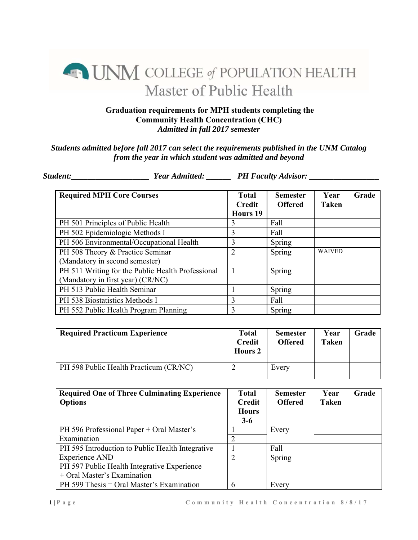## **ENIM COLLEGE of POPULATION HEALTH** Master of Public Health

## **Graduation requirements for MPH students completing the Community Health Concentration (CHC)**  *Admitted in fall 2017 semester*

## *Students admitted before fall 2017 can select the requirements published in the UNM Catalog from the year in which student was admitted and beyond*

*Student:\_\_\_\_\_\_\_\_\_\_\_\_\_\_\_\_\_\_\_ Year Admitted: \_\_\_\_\_\_ PH Faculty Advisor: \_\_\_\_\_\_\_\_\_\_\_\_\_\_\_\_\_* 

| <b>Required MPH Core Courses</b>                  | <b>Total</b><br><b>Credit</b> | <b>Semester</b><br><b>Offered</b> | Year<br><b>Taken</b> | Grade |
|---------------------------------------------------|-------------------------------|-----------------------------------|----------------------|-------|
|                                                   | <b>Hours 19</b>               |                                   |                      |       |
| PH 501 Principles of Public Health                | 3                             | Fall                              |                      |       |
| PH 502 Epidemiologic Methods I                    | 3                             | Fall                              |                      |       |
| PH 506 Environmental/Occupational Health          | 3                             | Spring                            |                      |       |
| PH 508 Theory & Practice Seminar                  | 2                             | Spring                            | <b>WAIVED</b>        |       |
| (Mandatory in second semester)                    |                               |                                   |                      |       |
| PH 511 Writing for the Public Health Professional |                               | Spring                            |                      |       |
| (Mandatory in first year) (CR/NC)                 |                               |                                   |                      |       |
| PH 513 Public Health Seminar                      |                               | Spring                            |                      |       |
| PH 538 Biostatistics Methods I                    | $\mathbf{3}$                  | Fall                              |                      |       |
| PH 552 Public Health Program Planning             | 3                             | Spring                            |                      |       |

| <b>Required Practicum Experience</b>   | Total<br><b>Credit</b><br><b>Hours 2</b> | <b>Semester</b><br><b>Offered</b> | Year<br>Taken | Grade |
|----------------------------------------|------------------------------------------|-----------------------------------|---------------|-------|
| PH 598 Public Health Practicum (CR/NC) |                                          | Every                             |               |       |

| <b>Required One of Three Culminating Experience</b> | <b>Total</b>   | <b>Semester</b> | Year         | Grade |
|-----------------------------------------------------|----------------|-----------------|--------------|-------|
| <b>Options</b>                                      | <b>Credit</b>  | <b>Offered</b>  | <b>Taken</b> |       |
|                                                     | <b>Hours</b>   |                 |              |       |
|                                                     | $3-6$          |                 |              |       |
| PH 596 Professional Paper + Oral Master's           |                | Every           |              |       |
| Examination                                         |                |                 |              |       |
| PH 595 Introduction to Public Health Integrative    |                | Fall            |              |       |
| <b>Experience AND</b>                               | $\overline{2}$ | Spring          |              |       |
| PH 597 Public Health Integrative Experience         |                |                 |              |       |
| + Oral Master's Examination                         |                |                 |              |       |
| PH 599 Thesis = Oral Master's Examination           | 6              | Every           |              |       |